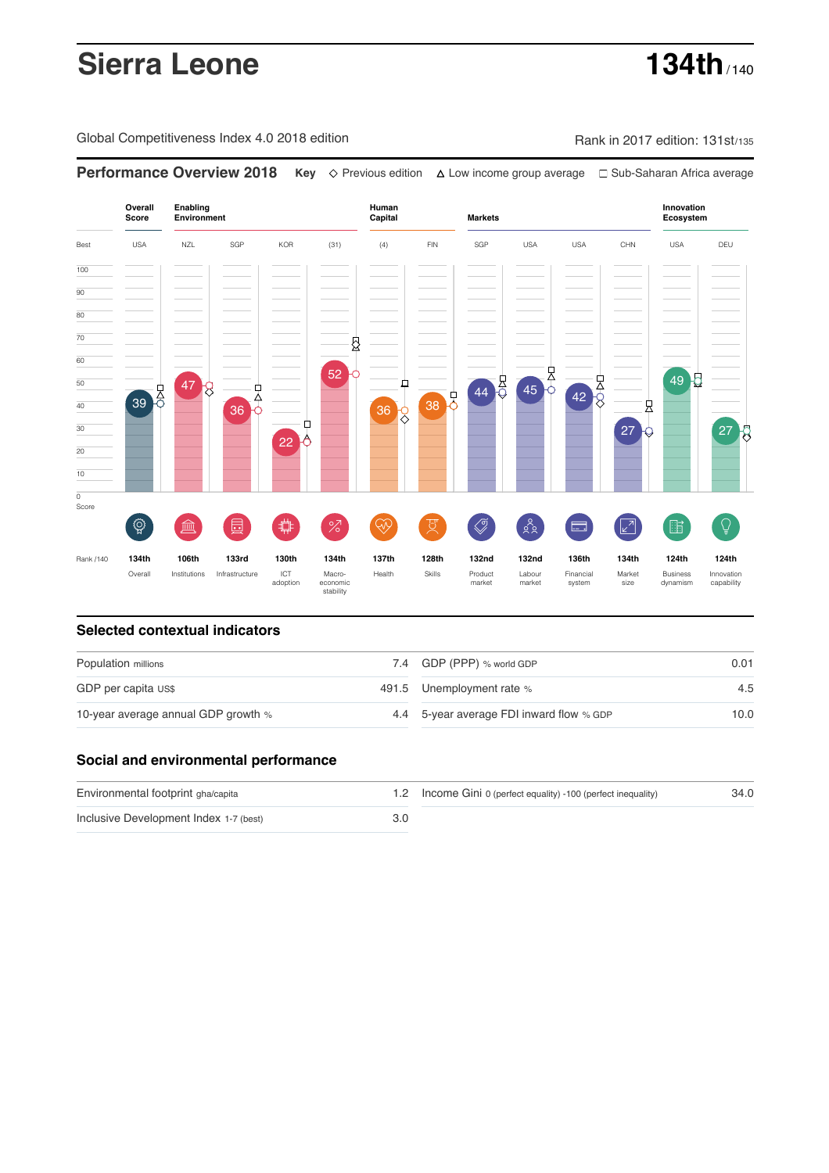# **Sierra Leone 134th** / 140

Global Competitiveness Index 4.0 2018 edition Company Rank in 2017 edition: 131st/135

**Performance Overview 2018 Key** Previous edition Low income group average Sub-Saharan Africa average

**Overall Innovation Enabling Environment Human Capital Markets Score Ecosystem** Best USA NZL SGP KOR (31) (4) FIN SGP USA USA CHN USA DEU 100  $\overline{90}$ 80 70 ₿ 60  $\begin{array}{|c|c|c|}\n\hline\n2 & 45\n\end{array}$ 52  $49<sup>2</sup>$  $42.8$ 50 ₫ 47  $39<sup>1</sup>$ 모<br>수 38 0 40 县 36 36 г 30 27  $27<sup>1</sup>$ 22 20 10  $\overline{\text{o}}$ Score ៍{៌្ម} ี 2  $88$ **ledge (** 茴 %)(  $\circledcirc$  ( ਸ਼ੁ 击  $\sqrt{2}$ 酯  $\overline{Q}$ E Rank /140 **134th 106th 133rd 130th 134th 137th 128th 132nd 132nd 136th 134th 124th 124th** Overall Institutions Infrastructure ICT<br>adoption adoption Macro- economic stability Health Skills Product market Labour<br>market Financial system Market size Business dynamism Innovation capability

### **Selected contextual indicators**

| Population millions                 |  | 7.4 GDP (PPP) % world GDP                | 0.01 |  |
|-------------------------------------|--|------------------------------------------|------|--|
| GDP per capita US\$                 |  | 491.5 Unemployment rate %                | 4.5  |  |
| 10-year average annual GDP growth % |  | 4.4 5-year average FDI inward flow % GDP | 10.0 |  |

## **Social and environmental performance**

| Environmental footprint gha/capita     | 1.2 Income Gini 0 (perfect equality) -100 (perfect inequality) | 34.0 |
|----------------------------------------|----------------------------------------------------------------|------|
| Inclusive Development Index 1-7 (best) |                                                                |      |

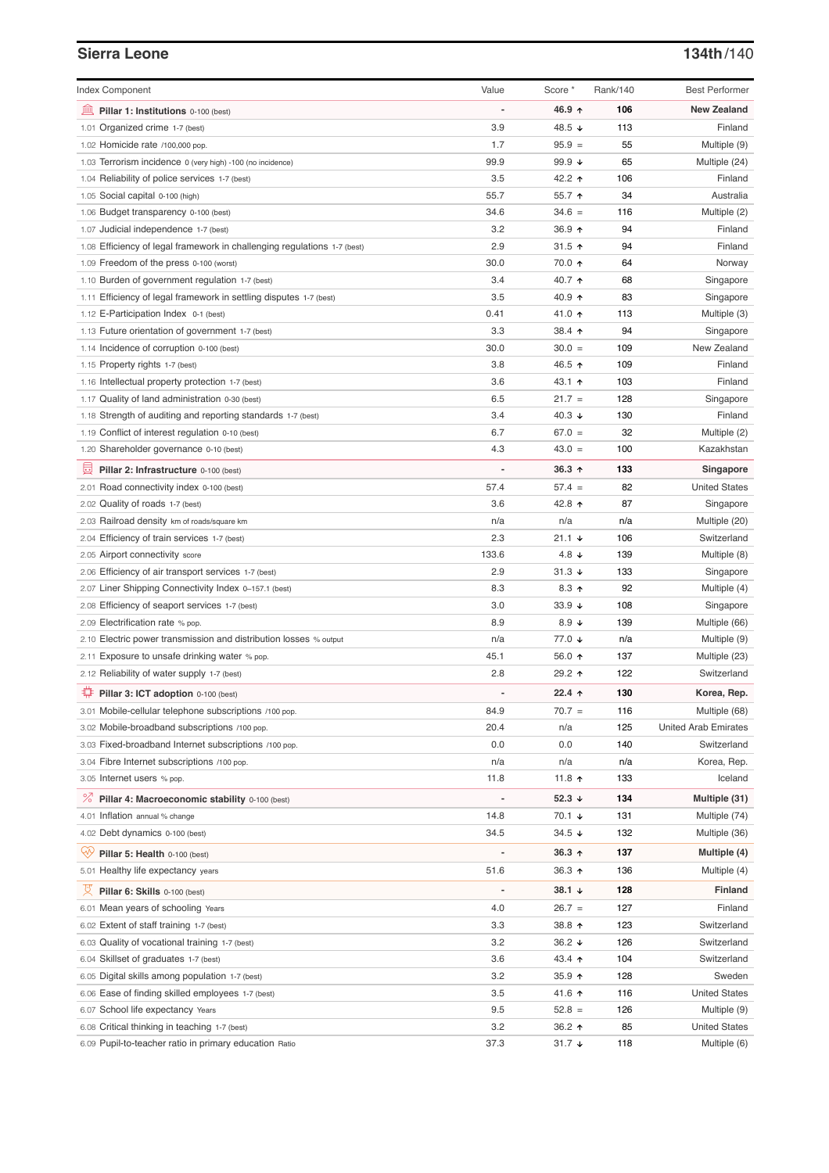# **Sierra Leone 134th**/140

| <b>Index Component</b>                                                   | Value          | Score *                  | Rank/140 | <b>Best Performer</b>       |
|--------------------------------------------------------------------------|----------------|--------------------------|----------|-----------------------------|
| Pillar 1: Institutions 0-100 (best)                                      |                | 46.9 ↑                   | 106      | <b>New Zealand</b>          |
| 1.01 Organized crime 1-7 (best)                                          | 3.9            | 48.5 ↓                   | 113      | Finland                     |
| 1.02 Homicide rate /100,000 pop.                                         | 1.7            | $95.9 =$                 | 55       | Multiple (9)                |
| 1.03 Terrorism incidence 0 (very high) -100 (no incidence)               | 99.9           | 99.9 $\sqrt{ }$          | 65       | Multiple (24)               |
| 1.04 Reliability of police services 1-7 (best)                           | 3.5            | 42.2 ↑                   | 106      | Finland                     |
| 1.05 Social capital 0-100 (high)                                         | 55.7           | 55.7 个                   | 34       | Australia                   |
| 1.06 Budget transparency 0-100 (best)                                    | 34.6           | $34.6 =$                 | 116      | Multiple (2)                |
| 1.07 Judicial independence 1-7 (best)                                    | 3.2            | 36.9 ↑                   | 94       | Finland                     |
| 1.08 Efficiency of legal framework in challenging regulations 1-7 (best) | 2.9            | 31.5 $\uparrow$          | 94       | Finland                     |
| 1.09 Freedom of the press 0-100 (worst)                                  | 30.0           | 70.0 ↑                   | 64       | Norway                      |
| 1.10 Burden of government regulation 1-7 (best)                          | 3.4            | 40.7 ↑                   | 68       | Singapore                   |
| 1.11 Efficiency of legal framework in settling disputes 1-7 (best)       | 3.5            | 40.9 ↑                   | 83       | Singapore                   |
| 1.12 E-Participation Index 0-1 (best)                                    | 0.41           | 41.0 ↑                   | 113      | Multiple (3)                |
| 1.13 Future orientation of government 1-7 (best)                         | 3.3            | 38.4 ↑                   | 94       | Singapore                   |
| 1.14 Incidence of corruption 0-100 (best)                                | 30.0           | $30.0 =$                 | 109      | New Zealand                 |
| 1.15 Property rights 1-7 (best)                                          | 3.8            | 46.5 ↑                   | 109      | Finland                     |
| 1.16 Intellectual property protection 1-7 (best)                         | 3.6            | 43.1 $\uparrow$          | 103      | Finland                     |
| 1.17 Quality of land administration 0-30 (best)                          | 6.5            | $21.7 =$                 | 128      | Singapore                   |
| 1.18 Strength of auditing and reporting standards 1-7 (best)             | 3.4            | 40.3 $\sqrt{ }$          | 130      | Finland                     |
| 1.19 Conflict of interest regulation 0-10 (best)                         | 6.7            | $67.0 =$                 | 32       | Multiple (2)                |
| 1.20 Shareholder governance 0-10 (best)                                  | 4.3            | $43.0 =$                 | 100      | Kazakhstan                  |
| 員<br>Pillar 2: Infrastructure 0-100 (best)                               |                | $36.3$ ^                 | 133      | Singapore                   |
| 2.01 Road connectivity index 0-100 (best)                                | 57.4           | $57.4 =$                 | 82       | <b>United States</b>        |
| 2.02 Quality of roads 1-7 (best)                                         | 3.6            | 42.8 ↑                   | 87       | Singapore                   |
| 2.03 Railroad density km of roads/square km                              | n/a            | n/a                      | n/a      | Multiple (20)               |
| 2.04 Efficiency of train services 1-7 (best)                             | 2.3            | $21.1 +$                 | 106      | Switzerland                 |
| 2.05 Airport connectivity score                                          | 133.6          | 4.8 $\downarrow$         | 139      | Multiple (8)                |
| 2.06 Efficiency of air transport services 1-7 (best)                     | 2.9            | $31.3 +$                 | 133      | Singapore                   |
| 2.07 Liner Shipping Connectivity Index 0-157.1 (best)                    | 8.3            | $8.3$ ↑                  | 92       | Multiple (4)                |
| 2.08 Efficiency of seaport services 1-7 (best)                           | 3.0            | $33.9 +$                 | 108      | Singapore                   |
| 2.09 Electrification rate % pop.                                         | 8.9            | 8.9 $\sqrt{ }$           | 139      | Multiple (66)               |
| 2.10 Electric power transmission and distribution losses % output        | n/a            | 77.0 ↓                   | n/a      | Multiple (9)                |
| 2.11 Exposure to unsafe drinking water % pop.                            | 45.1           | $56.0 \text{ } \Upsilon$ | 137      | Multiple (23)               |
| 2.12 Reliability of water supply 1-7 (best)                              | 2.8            | 29.2 ↑                   | 122      | Switzerland                 |
|                                                                          | $\overline{a}$ | $22.4$ ↑                 | 130      |                             |
| Pillar 3: ICT adoption 0-100 (best)                                      |                |                          |          | Korea, Rep.                 |
| 3.01 Mobile-cellular telephone subscriptions /100 pop.                   | 84.9           | $70.7 =$                 | 116      | Multiple (68)               |
| 3.02 Mobile-broadband subscriptions /100 pop.                            | 20.4           | n/a                      | 125      | <b>United Arab Emirates</b> |
| 3.03 Fixed-broadband Internet subscriptions /100 pop.                    | 0.0            | 0.0                      | 140      | Switzerland                 |
| 3.04 Fibre Internet subscriptions /100 pop.                              | n/a            | n/a                      | n/a      | Korea, Rep.                 |
| 3.05 Internet users % pop.                                               | 11.8           | 11.8 ↑                   | 133      | Iceland                     |
| ℅<br>Pillar 4: Macroeconomic stability 0-100 (best)                      |                | 52.3 $\downarrow$        | 134      | Multiple (31)               |
| 4.01 Inflation annual % change                                           | 14.8           | 70.1 ↓                   | 131      | Multiple (74)               |
| 4.02 Debt dynamics 0-100 (best)                                          | 34.5           | $34.5 +$                 | 132      | Multiple (36)               |
| Ųу.<br>Pillar 5: Health 0-100 (best)                                     |                | $36.3 \uparrow$          | 137      | Multiple (4)                |
| 5.01 Healthy life expectancy years                                       | 51.6           | $36.3$ ↑                 | 136      | Multiple (4)                |
| 섯<br>Pillar 6: Skills 0-100 (best)                                       |                | 38.1 $\downarrow$        | 128      | <b>Finland</b>              |
| 6.01 Mean years of schooling Years                                       | 4.0            | $26.7 =$                 | 127      | Finland                     |
| 6.02 Extent of staff training 1-7 (best)                                 | 3.3            | 38.8 个                   | 123      | Switzerland                 |
| 6.03 Quality of vocational training 1-7 (best)                           | 3.2            | 36.2 $\sqrt{ }$          | 126      | Switzerland                 |
| 6.04 Skillset of graduates 1-7 (best)                                    | 3.6            | 43.4 1                   | 104      | Switzerland                 |
| 6.05 Digital skills among population 1-7 (best)                          | 3.2            | 35.9 $\uparrow$          | 128      | Sweden                      |
| 6.06 Ease of finding skilled employees 1-7 (best)                        | 3.5            | 41.6 ↑                   | 116      | <b>United States</b>        |
| 6.07 School life expectancy Years                                        | 9.5            | $52.8 =$                 | 126      | Multiple (9)                |
| 6.08 Critical thinking in teaching 1-7 (best)                            | 3.2            | $36.2$ ↑                 | 85       | <b>United States</b>        |
| 6.09 Pupil-to-teacher ratio in primary education Ratio                   | 37.3           | $31.7 +$                 | 118      | Multiple (6)                |
|                                                                          |                |                          |          |                             |